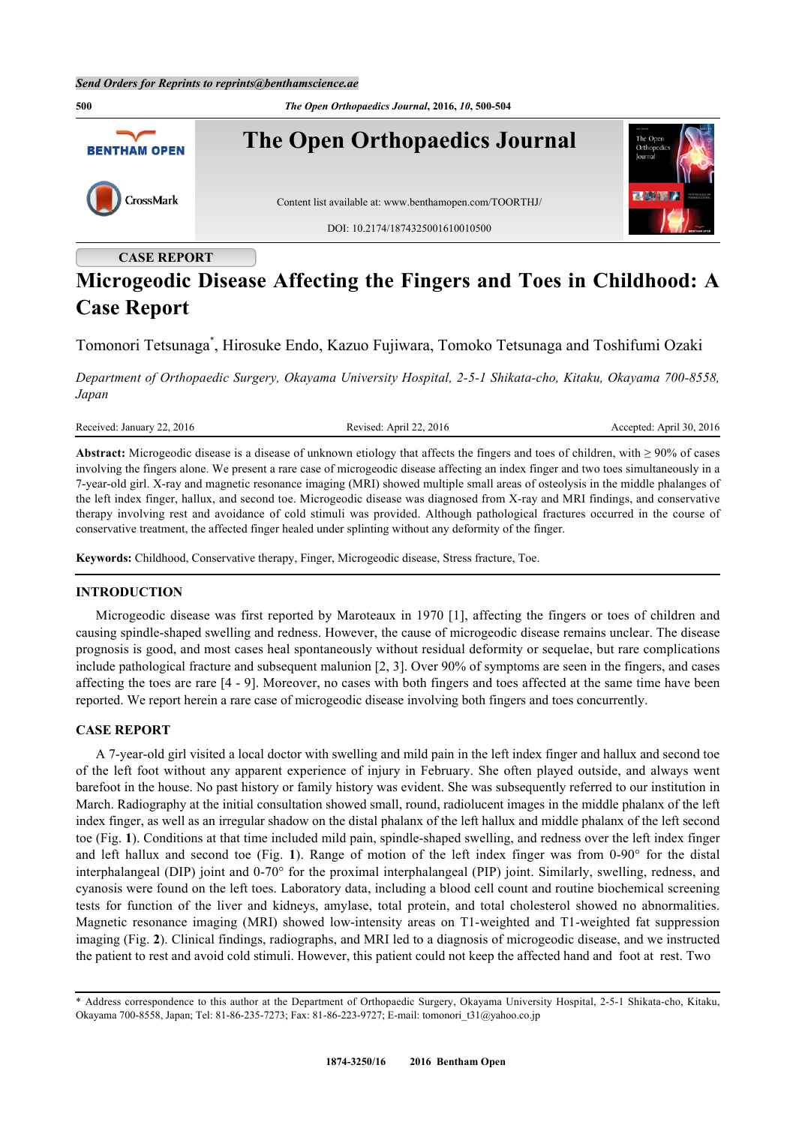

# **Microgeodic Disease Affecting the Fingers and Toes in Childhood: A**

# **Case Report**

Tomonori Tetsunaga[\\*](#page-0-0) , Hirosuke Endo, Kazuo Fujiwara, Tomoko Tetsunaga and Toshifumi Ozaki

*Department of Orthopaedic Surgery, Okayama University Hospital, 2-5-1 Shikata-cho, Kitaku, Okayama 700-8558, Japan*

Received: January 22, 2016 Revised: April 22, 2016 Revised: April 22, 2016 Accepted: April 30, 2016

**Abstract:** Microgeodic disease is a disease of unknown etiology that affects the fingers and toes of children, with ≥ 90% of cases involving the fingers alone. We present a rare case of microgeodic disease affecting an index finger and two toes simultaneously in a 7-year-old girl. X-ray and magnetic resonance imaging (MRI) showed multiple small areas of osteolysis in the middle phalanges of the left index finger, hallux, and second toe. Microgeodic disease was diagnosed from X-ray and MRI findings, and conservative therapy involving rest and avoidance of cold stimuli was provided. Although pathological fractures occurred in the course of conservative treatment, the affected finger healed under splinting without any deformity of the finger.

**Keywords:** Childhood, Conservative therapy, Finger, Microgeodic disease, Stress fracture, Toe.

# **INTRODUCTION**

Microgeodic disease was first reported by Maroteaux in 1970 [[1](#page-3-0)], affecting the fingers or toes of children and causing spindle-shaped swelling and redness. However, the cause of microgeodic disease remains unclear. The disease prognosis is good, and most cases heal spontaneously without residual deformity or sequelae, but rare complications include pathological fracture and subsequent malunion [[2,](#page-3-1) [3](#page-3-2)]. Over 90% of symptoms are seen in the fingers, and cases affecting the toes are rare [[4](#page-3-3) - [9\]](#page-4-0). Moreover, no cases with both fingers and toes affected at the same time have been reported. We report herein a rare case of microgeodic disease involving both fingers and toes concurrently.

# **CASE REPORT**

A 7-year-old girl visited a local doctor with swelling and mild pain in the left index finger and hallux and second toe of the left foot without any apparent experience of injury in February. She often played outside, and always went barefoot in the house. No past history or family history was evident. She was subsequently referred to our institution in March. Radiography at the initial consultation showed small, round, radiolucent images in the middle phalanx of the left index finger, as well as an irregular shadow on the distal phalanx of the left hallux and middle phalanx of the left second toe (Fig. **[1](#page-1-0)**). Conditions at that time included mild pain, spindle-shaped swelling, and redness over the left index finger and left hallux and second toe (Fig.**1**). Range of motion of the left index finger was from 0-90° for the distal interphalangeal (DIP) joint and 0-70° for the proximal interphalangeal (PIP) joint. Similarly, swelling, redness, and cyanosis were found on the left toes. Laboratory data, including a blood cell count and routine biochemical screening tests for function of the liver and kidneys, amylase, total protein, and total cholesterol showed no abnormalities. Magnetic resonance imaging (MRI) showed low-intensity areas on T1-weighted and T1-weighted fat suppression imaging (Fig. **[2](#page-1-1)**). Clinical findings, radiographs, and MRI led to a diagnosis of microgeodic disease, and we instructed the patient to rest and avoid cold stimuli. However, this patient could not keep the affected hand and foot at rest. Two

<span id="page-0-0"></span><sup>\*</sup> Address correspondence to this author at the Department of Orthopaedic Surgery, Okayama University Hospital, 2-5-1 Shikata-cho, Kitaku, Okayama 700-8558, Japan; Tel: 81-86-235-7273; Fax: 81-86-223-9727; E-mail: [tomonori\\_t31@yahoo.co.jp](mailto:tomonori_t31@yahoo.co.jp)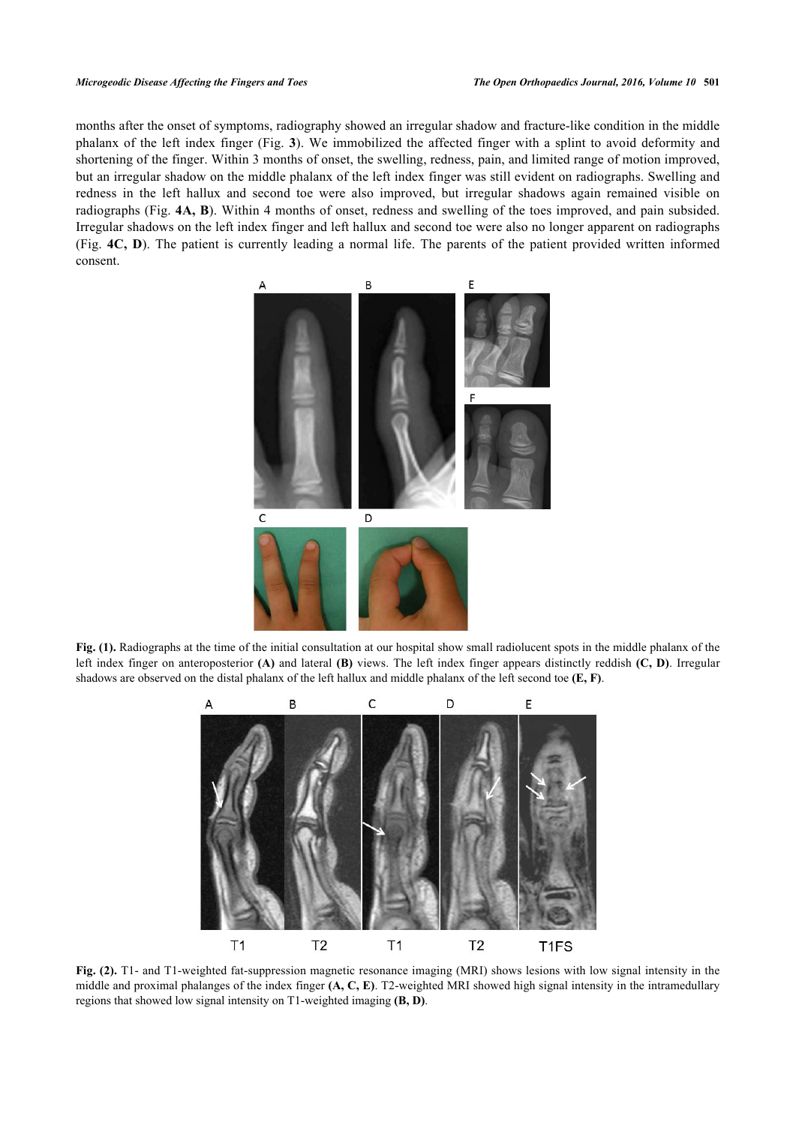#### *Microgeodic Disease Affecting the Fingers and Toes The Open Orthopaedics Journal, 2016, Volume 10* **501**

<span id="page-1-0"></span>months after the onset of symptoms, radiography showed an irregular shadow and fracture-like condition in the middle phalanx of the left index finger (Fig. **[3](#page-1-2)**). We immobilized the affected finger with a splint to avoid deformity and shortening of the finger. Within 3 months of onset, the swelling, redness, pain, and limited range of motion improved, but an irregular shadow on the middle phalanx of the left index finger was still evident on radiographs. Swelling and redness in the left hallux and second toe were also improved, but irregular shadows again remained visible on radiographs (Fig. **[4A,](#page-2-0) [B](#page-2-0)**). Within 4 months of onset, redness and swelling of the toes improved, and pain subsided. Irregular shadows on the left index finger and left hallux and second toe were also no longer apparent on radiographs (Fig. **[4C, D](#page-2-0)**). The patient is currently leading a normal life. The parents of the patient provided written informed consent.



<span id="page-1-1"></span>Fig. (1). Radiographs at the time of the initial consultation at our hospital show small radiolucent spots in the middle phalanx of the left index finger on anteroposterior **(A)** and lateral **(B)** views. The left index finger appears distinctly reddish **(C, D)**. Irregular shadows are observed on the distal phalanx of the left hallux and middle phalanx of the left second toe **(E, F)**.



<span id="page-1-2"></span>**Fig. (2).** T1- and T1-weighted fat-suppression magnetic resonance imaging (MRI) shows lesions with low signal intensity in the middle and proximal phalanges of the index finger **(A, C, E)**. T2-weighted MRI showed high signal intensity in the intramedullary regions that showed low signal intensity on T1-weighted imaging **(B, D)**.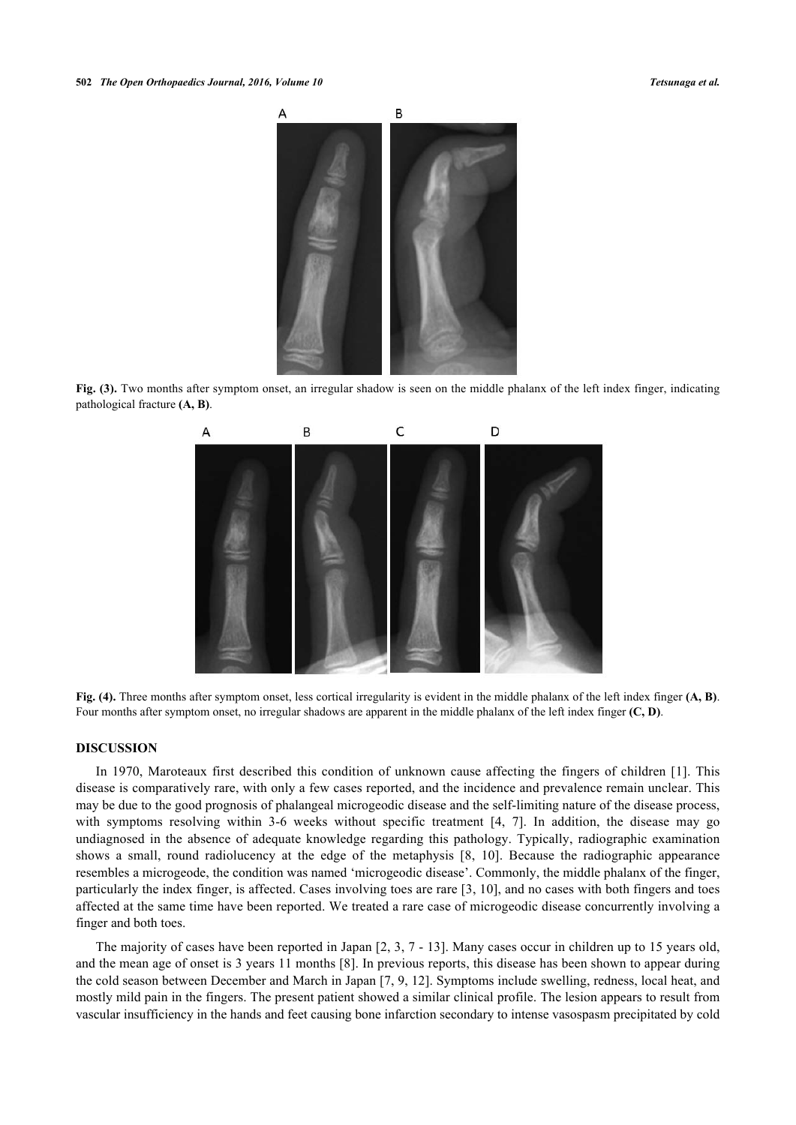

<span id="page-2-0"></span>**Fig. (3).** Two months after symptom onset, an irregular shadow is seen on the middle phalanx of the left index finger, indicating pathological fracture **(A, B)**.



**Fig. (4).** Three months after symptom onset, less cortical irregularity is evident in the middle phalanx of the left index finger **(A, B)**. Four months after symptom onset, no irregular shadows are apparent in the middle phalanx of the left index finger **(C, D)**.

#### **DISCUSSION**

In 1970, Maroteaux first described this condition of unknown cause affecting the fingers of children [[1\]](#page-3-0). This disease is comparatively rare, with only a few cases reported, and the incidence and prevalence remain unclear. This may be due to the good prognosis of phalangeal microgeodic disease and the self-limiting nature of the disease process, with symptoms resolving within 3-6 weeks without specific treatment [\[4](#page-3-3), [7](#page-4-1)]. In addition, the disease may go undiagnosed in the absence of adequate knowledge regarding this pathology. Typically, radiographic examination shows a small, round radiolucency at the edge of the metaphysis[[8,](#page-4-2) [10](#page-4-3)]. Because the radiographic appearance resembles a microgeode, the condition was named 'microgeodic disease'. Commonly, the middle phalanx of the finger, particularly the index finger, is affected. Cases involving toes are rare [[3,](#page-3-2) [10](#page-4-3)], and no cases with both fingers and toes affected at the same time have been reported. We treated a rare case of microgeodic disease concurrently involving a finger and both toes.

The majority of cases have been reported in Japan [[2,](#page-3-1) [3](#page-3-2), [7](#page-4-1) - [13\]](#page-4-4). Many cases occur in children up to 15 years old, and the mean age of onset is 3 years 11 months [\[8](#page-4-2)]. In previous reports, this disease has been shown to appear during the cold season between December and March in Japan [\[7](#page-4-1), [9,](#page-4-0) [12](#page-4-5)]. Symptoms include swelling, redness, local heat, and mostly mild pain in the fingers. The present patient showed a similar clinical profile. The lesion appears to result from vascular insufficiency in the hands and feet causing bone infarction secondary to intense vasospasm precipitated by cold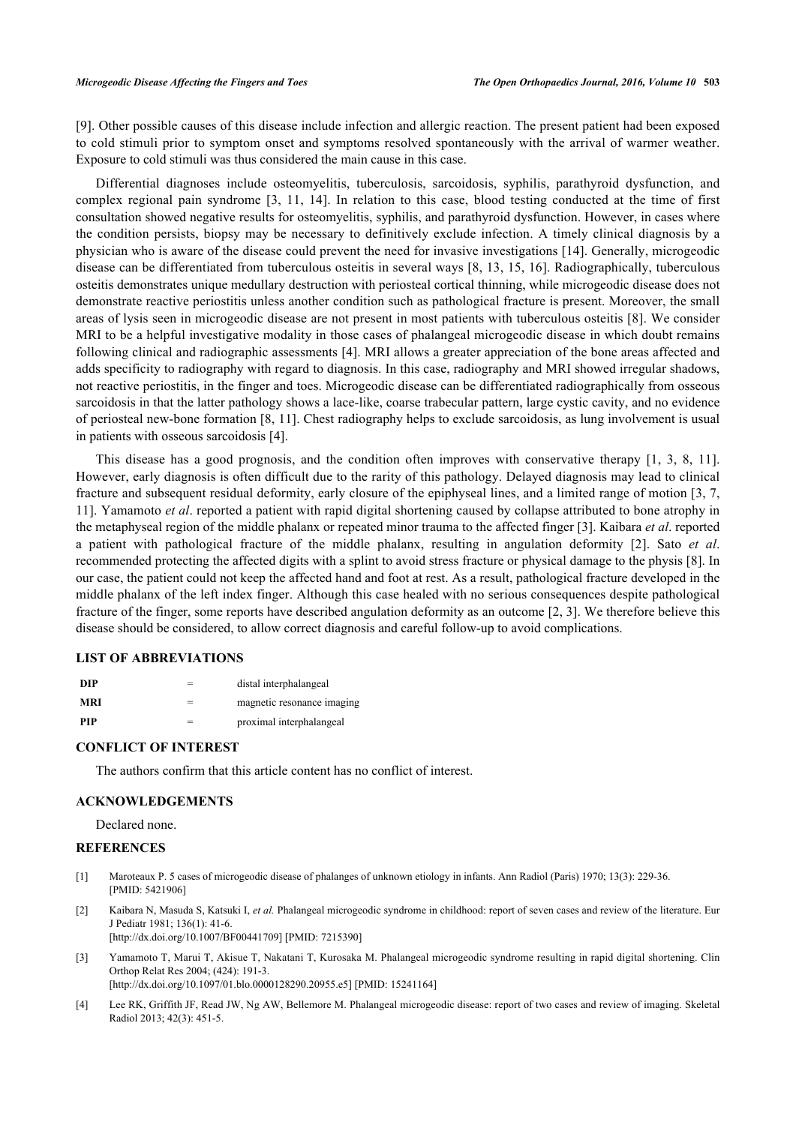[\[9](#page-4-0)]. Other possible causes of this disease include infection and allergic reaction. The present patient had been exposed to cold stimuli prior to symptom onset and symptoms resolved spontaneously with the arrival of warmer weather. Exposure to cold stimuli was thus considered the main cause in this case.

Differential diagnoses include osteomyelitis, tuberculosis, sarcoidosis, syphilis, parathyroid dysfunction, and complex regional pain syndrome[[3,](#page-3-2) [11,](#page-4-6) [14\]](#page-4-7). In relation to this case, blood testing conducted at the time of first consultation showed negative results for osteomyelitis, syphilis, and parathyroid dysfunction. However, in cases where the condition persists, biopsy may be necessary to definitively exclude infection. A timely clinical diagnosis by a physician who is aware of the disease could prevent the need for invasive investigations [[14\]](#page-4-7). Generally, microgeodic disease can be differentiated from tuberculous osteitis in several ways [\[8](#page-4-2), [13](#page-4-4), [15](#page-4-8), [16\]](#page-4-9). Radiographically, tuberculous osteitis demonstrates unique medullary destruction with periosteal cortical thinning, while microgeodic disease does not demonstrate reactive periostitis unless another condition such as pathological fracture is present. Moreover, the small areas of lysis seen in microgeodic disease are not present in most patients with tuberculous osteitis [[8\]](#page-4-2). We consider MRI to be a helpful investigative modality in those cases of phalangeal microgeodic disease in which doubt remains following clinical and radiographic assessments [[4](#page-3-3)]. MRI allows a greater appreciation of the bone areas affected and adds specificity to radiography with regard to diagnosis. In this case, radiography and MRI showed irregular shadows, not reactive periostitis, in the finger and toes. Microgeodic disease can be differentiated radiographically from osseous sarcoidosis in that the latter pathology shows a lace-like, coarse trabecular pattern, large cystic cavity, and no evidence of periosteal new-bone formation [\[8](#page-4-2), [11](#page-4-6)]. Chest radiography helps to exclude sarcoidosis, as lung involvement is usual in patients with osseous sarcoidosis [[4\]](#page-3-3).

This disease has a good prognosis, and the condition often improves with conservative therapy[[1](#page-3-0), [3,](#page-3-2) [8,](#page-4-2) [11\]](#page-4-6). However, early diagnosis is often difficult due to the rarity of this pathology. Delayed diagnosis may lead to clinical fracture and subsequent residual deformity, early closure of the epiphyseal lines, and a limited range of motion [\[3,](#page-3-2) [7](#page-4-1), [11\]](#page-4-6). Yamamoto *et al*. reported a patient with rapid digital shortening caused by collapse attributed to bone atrophy in the metaphyseal region of the middle phalanx or repeated minor trauma to the affected finger [\[3](#page-3-2)]. Kaibara *et al*. reported a patient with pathological fracture of the middle phalanx, resulting in angulation deformity [\[2](#page-3-1)]. Sato *et al*. recommended protecting the affected digits with a splint to avoid stress fracture or physical damage to the physis [[8\]](#page-4-2). In our case, the patient could not keep the affected hand and foot at rest. As a result, pathological fracture developed in the middle phalanx of the left index finger. Although this case healed with no serious consequences despite pathological fracture of the finger, some reports have described angulation deformity as an outcome [\[2](#page-3-1), [3\]](#page-3-2). We therefore believe this disease should be considered, to allow correct diagnosis and careful follow-up to avoid complications.

### **LIST OF ABBREVIATIONS**

| DIP        | distal interphalangeal     |
|------------|----------------------------|
| MRI        | magnetic resonance imaging |
| <b>PIP</b> | proximal interphalangeal   |

# **CONFLICT OF INTEREST**

The authors confirm that this article content has no conflict of interest.

#### **ACKNOWLEDGEMENTS**

Declared none.

#### **REFERENCES**

- <span id="page-3-0"></span>[1] Maroteaux P. 5 cases of microgeodic disease of phalanges of unknown etiology in infants. Ann Radiol (Paris) 1970; 13(3): 229-36. [PMID: [5421906\]](http://www.ncbi.nlm.nih.gov/pubmed/5421906)
- <span id="page-3-1"></span>[2] Kaibara N, Masuda S, Katsuki I, *et al.* Phalangeal microgeodic syndrome in childhood: report of seven cases and review of the literature. Eur J Pediatr 1981; 136(1): 41-6. [\[http://dx.doi.org/10.1007/BF00441709\]](http://dx.doi.org/10.1007/BF00441709) [PMID: [7215390](http://www.ncbi.nlm.nih.gov/pubmed/7215390)]
- <span id="page-3-2"></span>[3] Yamamoto T, Marui T, Akisue T, Nakatani T, Kurosaka M. Phalangeal microgeodic syndrome resulting in rapid digital shortening. Clin Orthop Relat Res 2004; (424): 191-3. [\[http://dx.doi.org/10.1097/01.blo.0000128290.20955.e5\]](http://dx.doi.org/10.1097/01.blo.0000128290.20955.e5) [PMID: [15241164](http://www.ncbi.nlm.nih.gov/pubmed/15241164)]
- <span id="page-3-3"></span>[4] Lee RK, Griffith JF, Read JW, Ng AW, Bellemore M. Phalangeal microgeodic disease: report of two cases and review of imaging. Skeletal Radiol 2013; 42(3): 451-5.